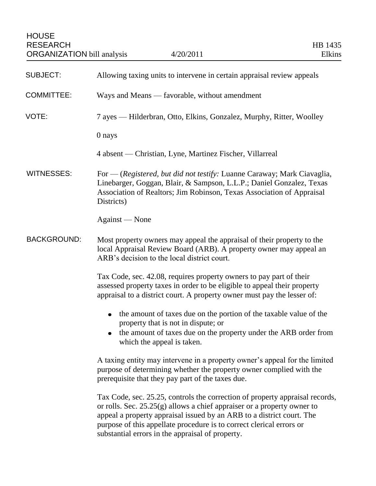| SUBJECT:           | Allowing taxing units to intervene in certain appraisal review appeals                                                                                                                                                                                                                                                                                         |
|--------------------|----------------------------------------------------------------------------------------------------------------------------------------------------------------------------------------------------------------------------------------------------------------------------------------------------------------------------------------------------------------|
| COMMITTEE:         | Ways and Means — favorable, without amendment                                                                                                                                                                                                                                                                                                                  |
| VOTE:              | 7 ayes — Hilderbran, Otto, Elkins, Gonzalez, Murphy, Ritter, Woolley                                                                                                                                                                                                                                                                                           |
|                    | 0 nays                                                                                                                                                                                                                                                                                                                                                         |
|                    | 4 absent — Christian, Lyne, Martinez Fischer, Villarreal                                                                                                                                                                                                                                                                                                       |
| <b>WITNESSES:</b>  | For — (Registered, but did not testify: Luanne Caraway; Mark Ciavaglia,<br>Linebarger, Goggan, Blair, & Sampson, L.L.P.; Daniel Gonzalez, Texas<br>Association of Realtors; Jim Robinson, Texas Association of Appraisal<br>Districts)                                                                                                                         |
|                    | Against — None                                                                                                                                                                                                                                                                                                                                                 |
| <b>BACKGROUND:</b> | Most property owners may appeal the appraisal of their property to the<br>local Appraisal Review Board (ARB). A property owner may appeal an<br>ARB's decision to the local district court.                                                                                                                                                                    |
|                    | Tax Code, sec. 42.08, requires property owners to pay part of their<br>assessed property taxes in order to be eligible to appeal their property<br>appraisal to a district court. A property owner must pay the lesser of:                                                                                                                                     |
|                    | the amount of taxes due on the portion of the taxable value of the<br>$\bullet$<br>property that is not in dispute; or<br>the amount of taxes due on the property under the ARB order from<br>which the appeal is taken.                                                                                                                                       |
|                    | A taxing entity may intervene in a property owner's appeal for the limited<br>purpose of determining whether the property owner complied with the<br>prerequisite that they pay part of the taxes due.                                                                                                                                                         |
|                    | Tax Code, sec. 25.25, controls the correction of property appraisal records,<br>or rolls. Sec. $25.25(g)$ allows a chief appraiser or a property owner to<br>appeal a property appraisal issued by an ARB to a district court. The<br>purpose of this appellate procedure is to correct clerical errors or<br>substantial errors in the appraisal of property. |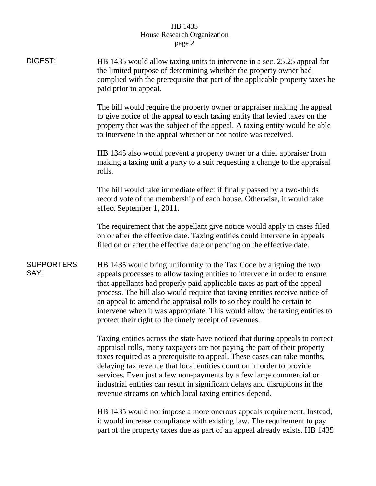## HB 1435 House Research Organization page 2

| DIGEST:                   | HB 1435 would allow taxing units to intervene in a sec. 25.25 appeal for<br>the limited purpose of determining whether the property owner had<br>complied with the prerequisite that part of the applicable property taxes be<br>paid prior to appeal.                                                                                                                                                                                                                                                                         |
|---------------------------|--------------------------------------------------------------------------------------------------------------------------------------------------------------------------------------------------------------------------------------------------------------------------------------------------------------------------------------------------------------------------------------------------------------------------------------------------------------------------------------------------------------------------------|
|                           | The bill would require the property owner or appraiser making the appeal<br>to give notice of the appeal to each taxing entity that levied taxes on the<br>property that was the subject of the appeal. A taxing entity would be able<br>to intervene in the appeal whether or not notice was received.                                                                                                                                                                                                                        |
|                           | HB 1345 also would prevent a property owner or a chief appraiser from<br>making a taxing unit a party to a suit requesting a change to the appraisal<br>rolls.                                                                                                                                                                                                                                                                                                                                                                 |
|                           | The bill would take immediate effect if finally passed by a two-thirds<br>record vote of the membership of each house. Otherwise, it would take<br>effect September 1, 2011.                                                                                                                                                                                                                                                                                                                                                   |
|                           | The requirement that the appellant give notice would apply in cases filed<br>on or after the effective date. Taxing entities could intervene in appeals<br>filed on or after the effective date or pending on the effective date.                                                                                                                                                                                                                                                                                              |
| <b>SUPPORTERS</b><br>SAY: | HB 1435 would bring uniformity to the Tax Code by aligning the two<br>appeals processes to allow taxing entities to intervene in order to ensure<br>that appellants had properly paid applicable taxes as part of the appeal<br>process. The bill also would require that taxing entities receive notice of<br>an appeal to amend the appraisal rolls to so they could be certain to<br>intervene when it was appropriate. This would allow the taxing entities to<br>protect their right to the timely receipt of revenues.   |
|                           | Taxing entities across the state have noticed that during appeals to correct<br>appraisal rolls, many taxpayers are not paying the part of their property<br>taxes required as a prerequisite to appeal. These cases can take months,<br>delaying tax revenue that local entities count on in order to provide<br>services. Even just a few non-payments by a few large commercial or<br>industrial entities can result in significant delays and disruptions in the<br>revenue streams on which local taxing entities depend. |
|                           | HB 1435 would not impose a more onerous appeals requirement. Instead,                                                                                                                                                                                                                                                                                                                                                                                                                                                          |

it would increase compliance with existing law. The requirement to pay part of the property taxes due as part of an appeal already exists. HB 1435